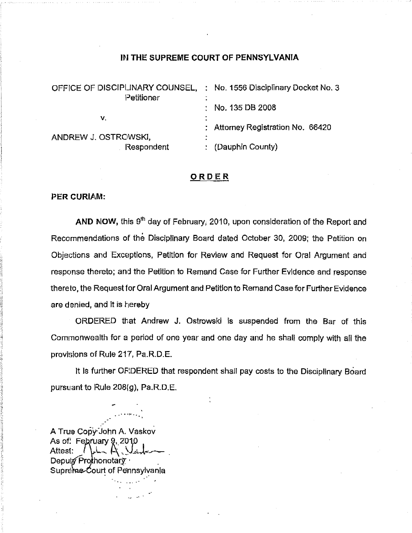#### IN THE SUPREME COURT OF PENNSYLVANIA

| OFFICE OF DISCIPLINARY COUNSEL, | : No. 1556 Disciplinary Docket No. 3 |
|---------------------------------|--------------------------------------|
| Petitioner                      |                                      |
|                                 | $\therefore$ No. 135 DB 2008         |
| V.                              |                                      |
|                                 | : Attorney Registration No. 66420    |
| ANDREW J. OSTROWSKI,            |                                      |
| Respondent                      | (Dauphin County)                     |

#### **ORDER**

### PER CURIAM:

AND NOW, this  $9<sup>th</sup>$  day of February, 2010, upon consideration of the Report and Recommendations of the Disciplinary Board dated October 30, 2009; the Petition on Objections and Exceptions, Petition for Review and Request for Oral Argument and response thereto; and the Petition to Remand Case for Further Evidence and response there to, the Request for Oral Argument and Petition to Remand Case for Further Evidence are denied, and it is hereby

ORDERED that Andrew J. Ostrowski is suspended from the Bar of this Commonwealth for a period of one year and one day and he shall comply with all the provisions of Rule 217, Pa.R.D.E.

It is further OFIDERED that respondent shall pay costs to the Disciplinary Board pursuant to Rule 208(g), Pa.R\_D.E.

A True Copy:John A. Vaskov As of: February 9, 2010<br>Attest: / ماما Depulx Prothonotary Supreme-Court of Pennsylvania

-• • • ....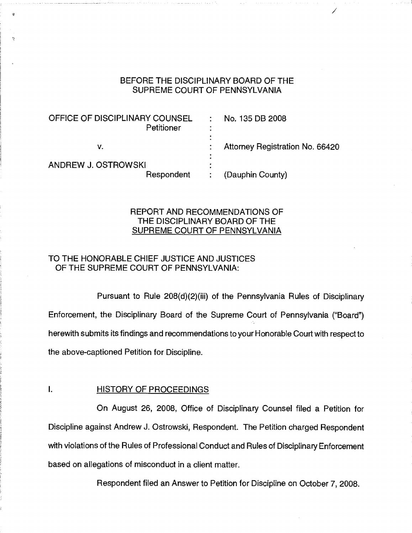### BEFORE THE DISCIPLINARY BOARD OF THE SUPREME COURT OF PENNSYLVANIA

| BEFORE THE DISCIPLINARY BOARD OF THE<br>SUPREME COURT OF PENNSYLVANIA |                |                                 |
|-----------------------------------------------------------------------|----------------|---------------------------------|
| OFFICE OF DISCIPLINARY COUNSEL<br>Petitioner                          | $\sim 10^{-1}$ | No. 135 DB 2008                 |
| v.                                                                    |                | Attorney Registration No. 66420 |
| ANDREW J. OSTROWSKI<br>Respondent                                     |                | (Dauphin County)                |

## REPORT AND RECOMMENDATIONS OF THE DISCIPLINARY BOARD OF THE SUPREME COURT OF PENNSYLVANIA

# TO THE HONORABLE CHIEF JUSTICE AND JUSTICES OF THE SUPREME COURT OF PENNSYLVANIA:

Pursuant to Rule 208(d)(2)(iii) of the Pennsylvania Rules of Disciplinary Enforcement, the Disciplinary Board of the Supreme Court of Pennsylvania ("Board") herewith submits its findings and recommendations to your Honorable Court with respect to the above-captioned Petition for Discipline.

### I. **HISTORY OF PROCEEDINGS**

On August 26, 2008, Office of Disciplinary Counsel filed a Petition for Discipline against Andrew J. Ostrowski, Respondent. The Petition charged Respondent with violations of the Rules of Professional Conduct and Rules of Disciplinary Enforcement based on allegations of misconduct in a client matter.

Respondent filed an Answer to Petition for Discipline on October 7, 2008.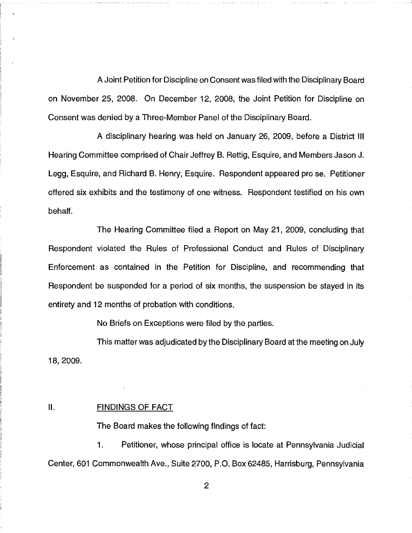A Joint Petition for Discipline on Consent was filed with the Disciplinary Board on November 25, 2008. On December 12, 2008, the Joint Petition for Discipline on Consent was denied by a Three-Member Panel of the Disciplinary Board.

A disciplinary hearing was held on January 26, 2009, before a District III Hearing Committee comprised of Chair Jeffrey B. Rettig, Esquire, and Members Jason J. Legg, Esquire, and Richard B. Henry, Esquire. Respondent appeared pro se. Petitioner offered six exhibits and the testimony of one witness. Respondent testified on his own behalf.

The Hearing Committee filed a Report on May 21, 2009, concluding that Respondent violated the Rules of Professional Conduct and Rules of Disciplinary Enforcement as contained in the Petition for Discipline, and recommending that Respondent be suspended for a period of six months, the suspension be stayed in its entirety and 12 months of probation with conditions.

No Briefs on Exceptions were filed by the parties.

This matter was adjudicated by the Disciplinary Board at the meeting on July 18, 2009.

#### II. FINDINGS OF FACT

The Board makes the following findings of fact:

1. Petitioner, whose principal office is locate at Pennsylvania Judicial Center, 601 Commonwealth Ave., Suite 2700, P.O. Box 62485, Harrisburg, Pennsylvania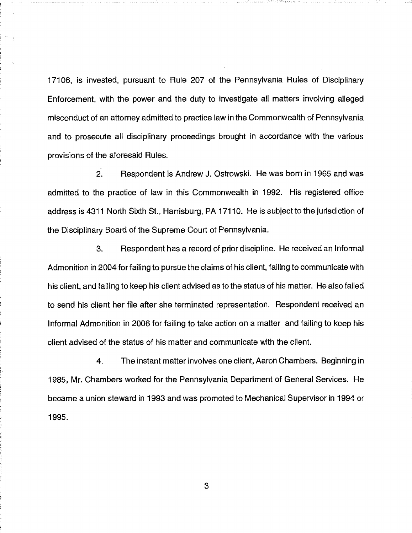17106, is invested, pursuant to Rule 207 of the Pennsylvania Rules of Disciplinary Enforcement, with the power and the duty to investigate all matters involving alleged misconduct of an attorney admitted to practice law in the Commonwealth of Pennsylvania and to prosecute all disciplinary proceedings brought in accordance with the various provisions of the aforesaid Rules.

2. Respondent is Andrew J. Ostrowski. He was born in 1965 and was admitted to the practice of law in this Commonwealth in 1992. His registered office address is 4311 North Sixth St., Harrisburg, PA 17110. He is subject to the jurisdiction of the Disciplinary Board of the Supreme Court of Pennsylvania.

3. Respondent has a record of prior discipline. He received an Informal Admonition in 2004 for failing to pursue the claims of his client, failing to communicate with his client, and failing to keep his client advised as to the status of his matter. He also failed to send his client her file after she terminated representation. Respondent received an Informal Admonition in 2006 for failing to take action on a matter and failing to keep his client advised of the status of his matter and communicate with the client.

4. The instant matter involves one client, Aaron Chambers. Beginning in 1985, Mr. Chambers worked for the Pennsylvania Department of General Services. He became a union steward in 1993 and was promoted to Mechanical Supervisor in 1994 or 1995.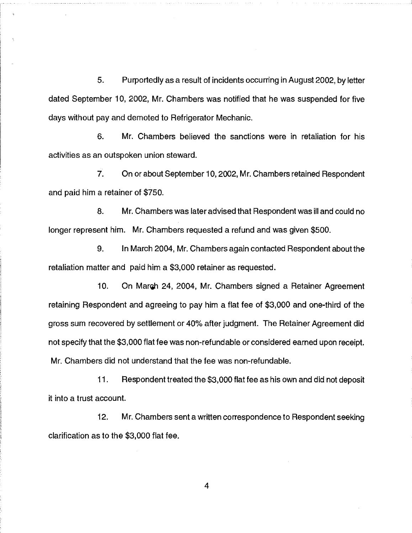5. Purportedly as a result of incidents occurring in August 2002, by letter dated September 10, 2002, Mr. Chambers was notified that he was suspended for five days without pay and demoted to Refrigerator Mechanic.

6. Mr. Chambers believed the sanctions were in retaliation for his activities as an outspoken union steward.

7. On or about September 10, 2002, Mr. Chambers retained Respondent and paid him a retainer of \$750.

8. Mr. Chambers was later advised that Respondent was ill and could no longer represent him. Mr. Chambers requested a refund and was given \$500.

9. In March 2004, Mr. Chambers again contacted Respondent about the retaliation matter and paid him a \$3,000 retainer as requested.

10. On March 24, 2004, Mr. Chambers signed a Retainer Agreement retaining Respondent and agreeing to pay him a flat fee of \$3,000 and one-third of the gross sum recovered by settlement or 40% after judgment. The Retainer Agreement did not specify that the \$3,000 flat fee was non-refundable or considered earned upon receipt. Mr. Chambers did not understand that the fee was non-refundable.

11. Respondent treated the \$3,000 flat fee as his own and did not deposit it into a trust account.

12. Mr. Chambers sent a written correspondence to Respondent seeking clarification as to the \$3,000 flat fee.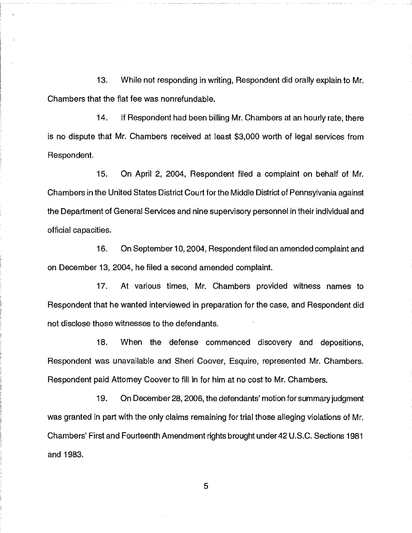13. While not responding in writing, Respondent did orally explain to Mr. Chambers that the flat fee was nonrefundable.

14. If Respondent had been billing Mr. Chambers at an hourly rate, there is no dispute that Mr. Chambers received at least \$3,000 worth of legal services from Respondent.

15. On April 2, 2004, Respondent filed a complaint on behalf of Mr. Chambers in the United States District Court for the Middle District of Pennsylvania against the Department of General Services and nine supervisory personnel in their individual and official capacities.

16. On September 10, 2004, Respondent filed an amended complaint and on December 13, 2004, he filed a second amended complaint.

17. At various times, Mr. Chambers provided witness names to Respondent that he wanted interviewed in preparation for the case, and Respondent did not disclose those witnesses to the defendants.

18. When the defense commenced discovery and depositions, Respondent was unavailable and Sheri Coover, Esquire, represented Mr. Chambers. Respondent paid Attorney Coover to fill in for him at no cost to Mr. Chambers.

19. On December 28, 2006, the defendants' motion for summary judgment was granted in part with the only claims remaining for trial those alleging violations of Mr. Chambers' First and Fourteenth Amendment rights brought under 42 U.S.C. Sections 1981 and 1983.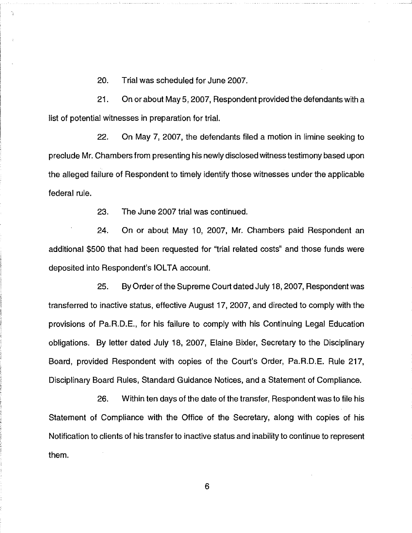20. Trial was scheduled for June 2007.

21. On or about May 5, 2007, Respondent provided the defendants with a list of potential witnesses in preparation for trial.

22. On May 7, 2007, the defendants filed a motion in limine seeking to preclude Mr. Chambers from presenting his newly disclosed witness testimony based upon the alleged failure of Respondent to timely identify those witnesses under the applicable federal rule.

23. The June 2007 trial was continued.

24. On or about May 10, 2007, Mr. Chambers paid Respondent an additional \$500 that had been requested for "trial related costs" and those funds were deposited into Respondent's IOLTA account.

25. By Order of the Supreme Court dated July 18, 2007, Respondent was transferred to inactive status, effective August 17, 2007, and directed to comply with the provisions of Pa.R.D.E., for his failure to comply with his Continuing Legal Education obligations. By letter dated July 18, 2007, Elaine Bixler, Secretary to the Disciplinary Board, provided Respondent with copies of the Court's Order, Pa.R.D.E. Rule 217, Disciplinary Board Rules, Standard Guidance Notices, and a Statement of Compliance.

26. Within ten days of the date of the transfer, Respondent was to file his Statement of Compliance with the Office of the Secretary, along with copies of his Notification to clients of his transfer to inactive status and inability to continue to represent them.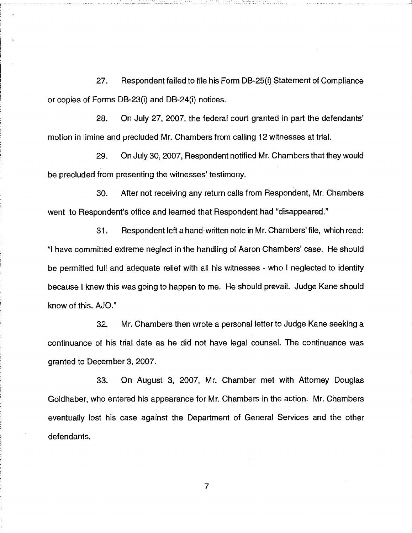27. Respondent failed to file his Form DB-25(i) Statement of Compliance or copies of Forms DB-23(i) and DB-24(i) notices.

28. On July 27, 2007, the federal court granted in part the defendants' motion in limine and precluded Mr. Chambers from calling 12 witnesses at trial.

29. On July 30, 2007, Respondent notified Mr. Chambers that they would be precluded from presenting the witnesses' testimony.

30. After not receiving any return calls from Respondent, Mr. Chambers went to Respondent's office and learned that Respondent had "disappeared."

31. Respondent left a hand-written note in Mr. Chambers' file, which read: "I have committed extreme neglect in the handling of Aaron Chambers' case. He should be permitted full and adequate relief with all his witnesses - who I neglected to identify because I knew this was going to happen to me. He should prevail. Judge Kane should know of this. AJO."

32. Mr. Chambers then wrote a personal letter to Judge Kane seeking a continuance of his trial date as he did not have legal counsel. The continuance was granted to December 3, 2007.

33. On August 3, 2007, Mr. Chamber met with Attomey Douglas Goldhaber, who entered his appearance for Mr. Chambers in the action. Mr. Chambers eventually lost his case against the Department of General Services and the other defendants.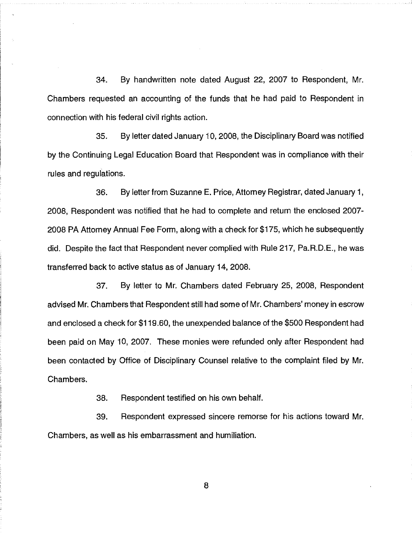34. By handwritten note dated August 22, 2007 to Respondent, Mr. Chambers requested an accounting of the funds that he had paid to Respondent in connection with his federal civil rights action.

35. By letter dated January 10, 2008, the Disciplinary Board was notified by the Continuing Legal Education Board that Respondent was in compliance with their rules and regulations.

36. By letter from Suzanne E. Price, Attorney Registrar, dated January 1, 2008, Respondent was notified that he had to complete and return the enclosed 2007- 2008 PA Attorney Annual Fee Form, along with a check for \$175, which he subsequently did. Despite the fact that Respondent never complied with Rule 217, Pa.R.D.E., he was transferred back to active status as of January 14, 2008.

37. By letter to Mr. Chambers dated February 25, 2008, Respondent advised Mr. Chambers that Respondent still had some of Mr. Chambers' money in escrow and enclosed a check for \$119.60, the unexpended balance of the \$500 Respondent had been paid on May 10, 2007. These monies were refunded only after Respondent had been contacted by Office of Disciplinary Counsel relative to the complaint filed by Mr. Chambers.

38. Respondent testified on his own behalf.

39. Respondent expressed sincere remorse for his actions toward Mr. Chambers, as well as his embarrassment and humiliation.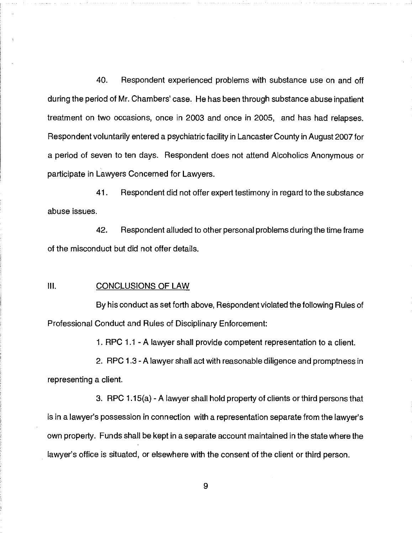40. Respondent experienced problems with substance use on and off during the period of Mr. Chambers' case. He has been through substance abuse inpatient treatment on two occasions, once in 2003 and once in 2005, and has had relapses. Respondent voluntarily entered a psychiatric facility in Lancaster County in August 2007 for a period of seven to ten days. Respondent does not attend Alcoholics Anonymous or participate in Lawyers Concerned for Lawyers.

41. Respondent did not offer expert testimony in regard to the substance abuse issues.

42. Respondent alluded to other personal problems during the time frame of the misconduct but did not offer details.

#### $III.$ CONCLUSIONS OF LAW

By his conduct as set forth above, Respondent violated the following Rules of Professional Conduct and Rules of Disciplinary Enforcement:

1. RPC 1.1 - A lawyer shall provide competent representation to a client.

2. RPC 1.3 - A lawyer shall act with reasonable diligence and promptness in representing a client.

3. RPC 1.15(a) - A lawyer shall hold property of clients or third persons that is in a lawyer's possession in connection with a representation separate from the lawyer's own property. Funds shall be kept in a separate account maintained in the state where the lawyer's office is situated, or elsewhere with the consent of the client or third person.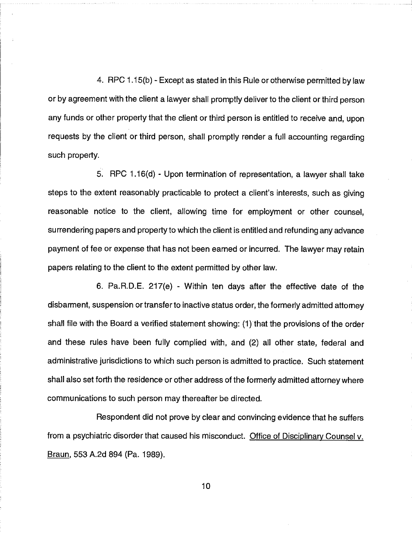4. RPC 1.15(b) - Except as stated in this Rule or otherwise permitted by law or by agreement with the client a lawyer shall promptly deliver to the client or third person any funds or other property that the client or third person is entitled to receive and, upon requests by the client or third person, shall promptly render a full accounting regarding such property.

5. RPC 1.16(d) - Upon termination of representation, a lawyer shall take steps to the extent reasonably practicable to protect a client's interests, such as giving reasonable notice to the client, allowing time for employment or other counsel, surrendering papers and property to which the client is entitled and refunding any advance payment of fee or expense that has not been earned or incurred. The lawyer may retain papers relating to the client to the extent permitted by other law.

6. Pa.R.D.E. 217(e) - Within ten days after the effective date of the disbarment, suspension or transfer to inactive status order, the formerly admitted attorney shall file with the Board a verified statement showing: (1) that the provisions of the order and these rules have been fully complied with, and (2) all other state, federal and administrative jurisdictions to which such person is admitted to practice. Such statement shall also set forth the residence or other address of the formerly admitted attorney where communications to such person may thereafter be directed.

Respondent did not prove by clear and convincing evidence that he suffers from a psychiatric disorder that caused his misconduct. Office of Disciplinary Counsel v. Braun, 553 A.2d 894 (Pa, 1989).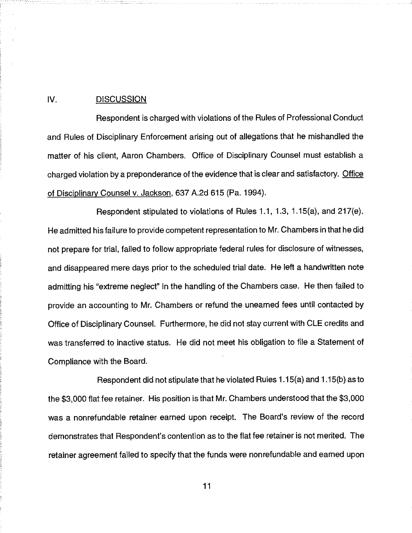#### IV. DISCUSSION

Respondent is charged with violations of the Rules of Professional Conduct and Rules of Disciplinary Enforcement arising out of allegations that he mishandled the matter of his client, Aaron Chambers. Office of Disciplinary Counsel must establish a charged violation by a preponderance of the evidence that is clear and satisfactory. Office of Disciplinarv Counsel v. Jackson, 637 A.2d 615 (Pa. 1994).

Respondent stipulated to violations of Rules 1.1, 1.3, 1.15(a), and 217(e). He admitted his failure to provide competent representation to Mr. Chambers in that he did not prepare for trial, failed to follow appropriate federal rules for disclosure of witnesses, and disappeared mere days prior to the scheduled trial date. He left a handwritten note admitting his "extreme neglect" in the handling of the Chambers case. He then failed to provide an accounting to Mr. Chambers or refund the unearned fees until contacted by Office of Disciplinary Counsel. Furthermore, he did not stay current with CLE credits and was transferred to inactive status. He did not meet his obligation to file a Statement of Compliance with the Board.

Respondent did not stipulate that he violated Rules 1.15(a) and 1.15(b) as to the \$3,000 flat fee retainer. His position is that Mr. Chambers understood that the \$3,000 was a nonrefundable retainer earned upon receipt. The Board's review of the record demonstrates that Respondent's contention as to the flat fee retainer is not merited. The retainer agreement failed to specify that the funds were nonrefundable and earned upon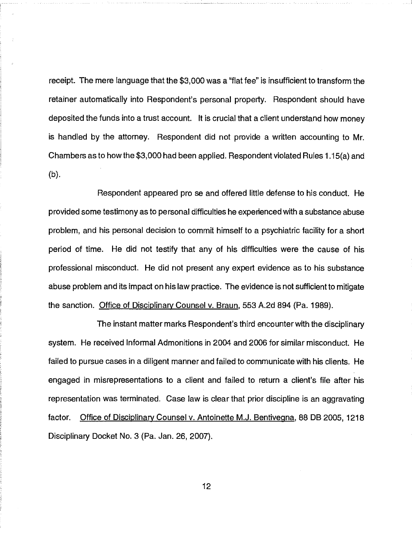receipt. The mere language that the \$3,000 was a "flat fee" is insufficient to transform the retainer automatically into Respondent's personal property. Respondent should have deposited the funds into a trust account. It is crucial that a client understand how money is handled by the attorney. Respondent did not provide a written accounting to Mr. Chambers as to how the \$3,000 had been applied. Respondent violated Rules 1.15(a) and (b).

Respondent appeared pro se and offered little defense to his conduct. He provided some testimony as to personal difficulties he experienced with a substance abuse problem, and his personal decision to commit himself to a psychiatric facility for a short period of time. He did not testify that any of his difficulties were the cause of his professional misconduct. He did not present any expert evidence as to his substance abuse problem and its impact on his law practice. The evidence is not sufficient to mitigate the sanction. Office of Disciplinary Counsel v. Braun, 553 A.2d 894 (Pa. 1989).

The instant matter marks Respondent's third encounter with the disciplinary system. He received Informal Admonitions in 2004 and 2006 for similar misconduct. He failed to pursue cases in a diligent manner and failed to communicate with his clients. He engaged in misrepresentations to a client and failed to return a client's file after his representation was terminated. Case law is clear that prior discipline is an aggravating factor. Office of Disciplinary Counsel v. Antoinette M.J. Bentivegna, 88 DB 2005, 1218 Disciplinary Docket No. 3 (Pa. Jan. 26, 2007).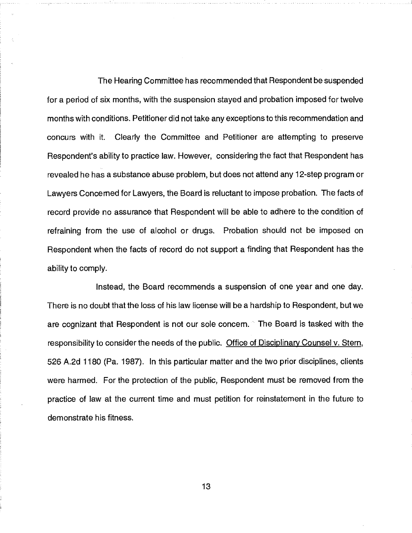The Hearing Committee has recommended that Respondent be suspended for a period of six months, with the suspension stayed and probation imposed for twelve months with conditions. Petitioner did not take any exceptions to this recommendation and concurs with it. Clearly the Committee and Petitioner are attempting to preserve Respondent's ability to practice law. However, considering the fact that Respondent has revealed he has a substance abuse problem, but does not attend any 12-step program or Lawyers Concerned for Lawyers, the Board is reluctant to impose probation. The facts of record provide no assurance that Respondent will be able to adhere to the condition of refraining from the use of alcohol or drugs. Probation should not be imposed on Respondent when the facts of record do not support a finding that Respondent has the ability to comply.

Instead, the Board recommends a suspension of one year and one day. There is no doubt that the loss of his law license will be a hardship to Respondent, but we are cognizant that Respondent is not our sole concern. The Board is tasked with the responsibility to consider the needs of the public. Office of Disciplinary Counsel v. Stern, 526 A.2d 1180 (Pa. 1987). In this particular matter and the two prior disciplines, clients were harmed. For the protection of the public, Respondent must be removed from the practice of law at the current time and must petition for reinstatement in the future to demonstrate his fitness.